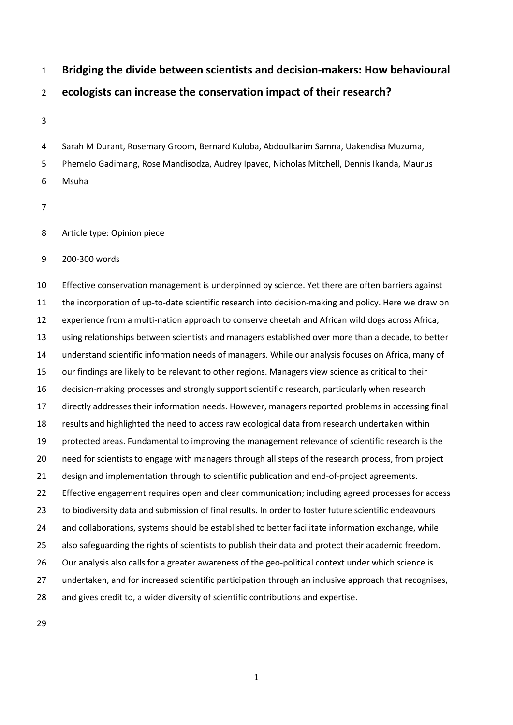# **Bridging the divide between scientists and decision-makers: How behavioural**

**ecologists can increase the conservation impact of their research?**

 Sarah M Durant, Rosemary Groom, Bernard Kuloba, Abdoulkarim Samna, Uakendisa Muzuma, Phemelo Gadimang, Rose Mandisodza, Audrey Ipavec, Nicholas Mitchell, Dennis Ikanda, Maurus Msuha

Article type: Opinion piece

200-300 words

 Effective conservation management is underpinned by science. Yet there are often barriers against the incorporation of up-to-date scientific research into decision-making and policy. Here we draw on experience from a multi-nation approach to conserve cheetah and African wild dogs across Africa, using relationships between scientists and managers established over more than a decade, to better understand scientific information needs of managers. While our analysis focuses on Africa, many of our findings are likely to be relevant to other regions. Managers view science as critical to their decision-making processes and strongly support scientific research, particularly when research directly addresses their information needs. However, managers reported problems in accessing final results and highlighted the need to access raw ecological data from research undertaken within protected areas. Fundamental to improving the management relevance of scientific research is the 20 need for scientists to engage with managers through all steps of the research process, from project design and implementation through to scientific publication and end-of-project agreements. Effective engagement requires open and clear communication; including agreed processes for access to biodiversity data and submission of final results. In order to foster future scientific endeavours and collaborations, systems should be established to better facilitate information exchange, while also safeguarding the rights of scientists to publish their data and protect their academic freedom. Our analysis also calls for a greater awareness of the geo-political context under which science is undertaken, and for increased scientific participation through an inclusive approach that recognises, and gives credit to, a wider diversity of scientific contributions and expertise.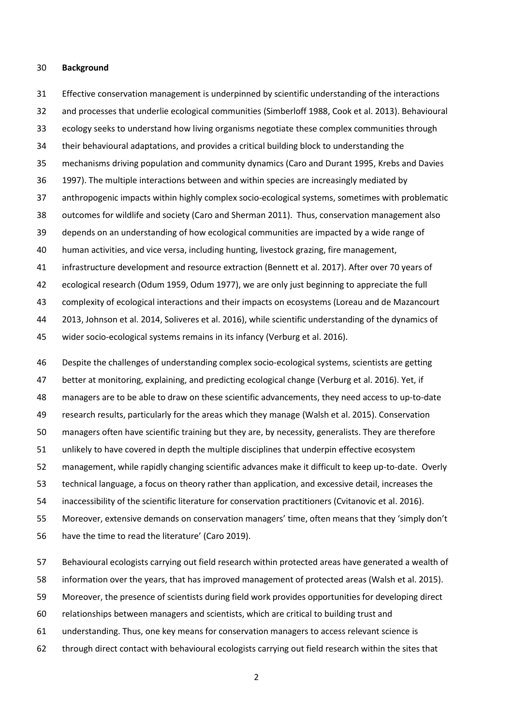#### **Background**

 Effective conservation management is underpinned by scientific understanding of the interactions and processes that underlie ecological communities (Simberloff 1988, Cook et al. 2013). Behavioural ecology seeks to understand how living organisms negotiate these complex communities through their behavioural adaptations, and provides a critical building block to understanding the mechanisms driving population and community dynamics (Caro and Durant 1995, Krebs and Davies 1997). The multiple interactions between and within species are increasingly mediated by anthropogenic impacts within highly complex socio-ecological systems, sometimes with problematic outcomes for wildlife and society (Caro and Sherman 2011). Thus, conservation management also depends on an understanding of how ecological communities are impacted by a wide range of human activities, and vice versa, including hunting, livestock grazing, fire management, infrastructure development and resource extraction (Bennett et al. 2017). After over 70 years of ecological research (Odum 1959, Odum 1977), we are only just beginning to appreciate the full complexity of ecological interactions and their impacts on ecosystems (Loreau and de Mazancourt 2013, Johnson et al. 2014, Soliveres et al. 2016), while scientific understanding of the dynamics of wider socio-ecological systems remains in its infancy (Verburg et al. 2016).

 Despite the challenges of understanding complex socio-ecological systems, scientists are getting better at monitoring, explaining, and predicting ecological change (Verburg et al. 2016). Yet, if managers are to be able to draw on these scientific advancements, they need access to up-to-date research results, particularly for the areas which they manage (Walsh et al. 2015). Conservation managers often have scientific training but they are, by necessity, generalists. They are therefore unlikely to have covered in depth the multiple disciplines that underpin effective ecosystem management, while rapidly changing scientific advances make it difficult to keep up-to-date. Overly technical language, a focus on theory rather than application, and excessive detail, increases the inaccessibility of the scientific literature for conservation practitioners (Cvitanovic et al. 2016). Moreover, extensive demands on conservation managers' time, often means that they 'simply don't have the time to read the literature' (Caro 2019).

 Behavioural ecologists carrying out field research within protected areas have generated a wealth of information over the years, that has improved management of protected areas (Walsh et al. 2015). Moreover, the presence of scientists during field work provides opportunities for developing direct relationships between managers and scientists, which are critical to building trust and understanding. Thus, one key means for conservation managers to access relevant science is through direct contact with behavioural ecologists carrying out field research within the sites that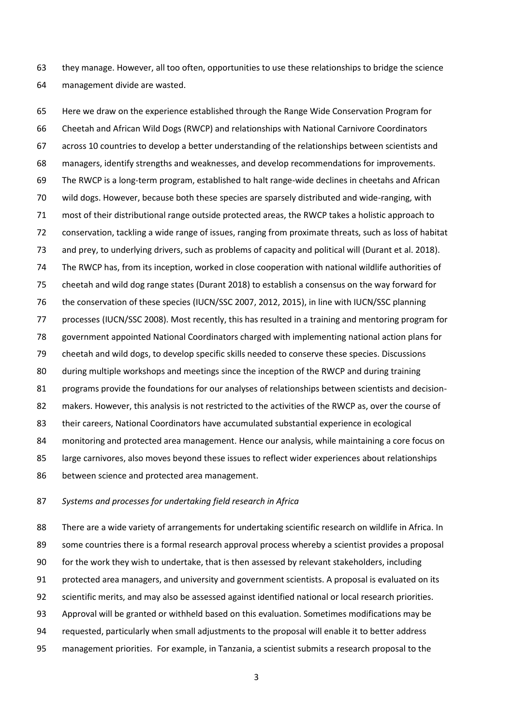they manage. However, all too often, opportunities to use these relationships to bridge the science management divide are wasted.

 Here we draw on the experience established through the Range Wide Conservation Program for Cheetah and African Wild Dogs (RWCP) and relationships with National Carnivore Coordinators across 10 countries to develop a better understanding of the relationships between scientists and managers, identify strengths and weaknesses, and develop recommendations for improvements. The RWCP is a long-term program, established to halt range-wide declines in cheetahs and African wild dogs. However, because both these species are sparsely distributed and wide-ranging, with most of their distributional range outside protected areas, the RWCP takes a holistic approach to conservation, tackling a wide range of issues, ranging from proximate threats, such as loss of habitat and prey, to underlying drivers, such as problems of capacity and political will (Durant et al. 2018). The RWCP has, from its inception, worked in close cooperation with national wildlife authorities of cheetah and wild dog range states (Durant 2018) to establish a consensus on the way forward for the conservation of these species (IUCN/SSC 2007, 2012, 2015), in line with IUCN/SSC planning processes (IUCN/SSC 2008). Most recently, this has resulted in a training and mentoring program for government appointed National Coordinators charged with implementing national action plans for cheetah and wild dogs, to develop specific skills needed to conserve these species. Discussions 80 during multiple workshops and meetings since the inception of the RWCP and during training programs provide the foundations for our analyses of relationships between scientists and decision- makers. However, this analysis is not restricted to the activities of the RWCP as, over the course of their careers, National Coordinators have accumulated substantial experience in ecological monitoring and protected area management. Hence our analysis, while maintaining a core focus on large carnivores, also moves beyond these issues to reflect wider experiences about relationships between science and protected area management.

#### *Systems and processes for undertaking field research in Africa*

 There are a wide variety of arrangements for undertaking scientific research on wildlife in Africa. In some countries there is a formal research approval process whereby a scientist provides a proposal for the work they wish to undertake, that is then assessed by relevant stakeholders, including protected area managers, and university and government scientists. A proposal is evaluated on its scientific merits, and may also be assessed against identified national or local research priorities. Approval will be granted or withheld based on this evaluation. Sometimes modifications may be requested, particularly when small adjustments to the proposal will enable it to better address management priorities. For example, in Tanzania, a scientist submits a research proposal to the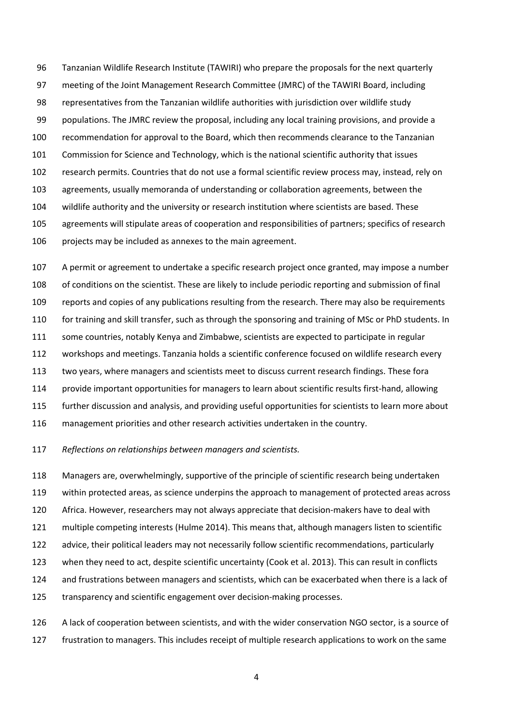Tanzanian Wildlife Research Institute (TAWIRI) who prepare the proposals for the next quarterly meeting of the Joint Management Research Committee (JMRC) of the TAWIRI Board, including representatives from the Tanzanian wildlife authorities with jurisdiction over wildlife study populations. The JMRC review the proposal, including any local training provisions, and provide a recommendation for approval to the Board, which then recommends clearance to the Tanzanian Commission for Science and Technology, which is the national scientific authority that issues research permits. Countries that do not use a formal scientific review process may, instead, rely on agreements, usually memoranda of understanding or collaboration agreements, between the wildlife authority and the university or research institution where scientists are based. These agreements will stipulate areas of cooperation and responsibilities of partners; specifics of research projects may be included as annexes to the main agreement.

 A permit or agreement to undertake a specific research project once granted, may impose a number of conditions on the scientist. These are likely to include periodic reporting and submission of final reports and copies of any publications resulting from the research. There may also be requirements for training and skill transfer, such as through the sponsoring and training of MSc or PhD students. In some countries, notably Kenya and Zimbabwe, scientists are expected to participate in regular workshops and meetings. Tanzania holds a scientific conference focused on wildlife research every two years, where managers and scientists meet to discuss current research findings. These fora provide important opportunities for managers to learn about scientific results first-hand, allowing further discussion and analysis, and providing useful opportunities for scientists to learn more about management priorities and other research activities undertaken in the country.

*Reflections on relationships between managers and scientists.* 

 Managers are, overwhelmingly, supportive of the principle of scientific research being undertaken within protected areas, as science underpins the approach to management of protected areas across Africa. However, researchers may not always appreciate that decision-makers have to deal with multiple competing interests (Hulme 2014). This means that, although managers listen to scientific advice, their political leaders may not necessarily follow scientific recommendations, particularly when they need to act, despite scientific uncertainty (Cook et al. 2013). This can result in conflicts and frustrations between managers and scientists, which can be exacerbated when there is a lack of transparency and scientific engagement over decision-making processes.

 A lack of cooperation between scientists, and with the wider conservation NGO sector, is a source of frustration to managers. This includes receipt of multiple research applications to work on the same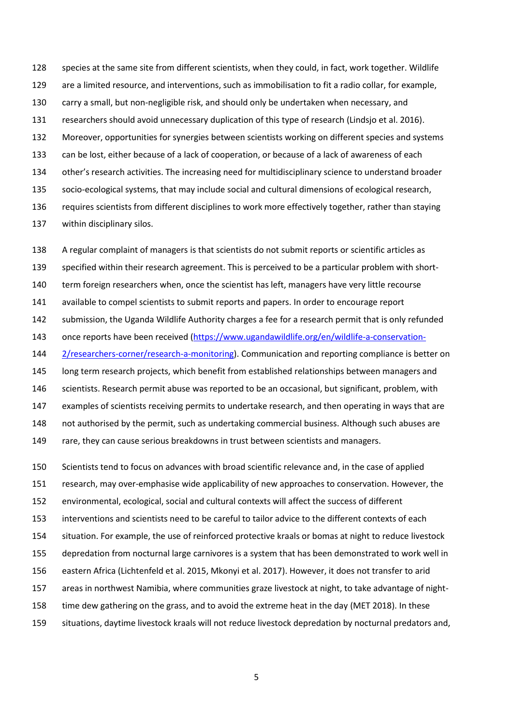species at the same site from different scientists, when they could, in fact, work together. Wildlife are a limited resource, and interventions, such as immobilisation to fit a radio collar, for example, carry a small, but non-negligible risk, and should only be undertaken when necessary, and researchers should avoid unnecessary duplication of this type of research (Lindsjo et al. 2016). Moreover, opportunities for synergies between scientists working on different species and systems can be lost, either because of a lack of cooperation, or because of a lack of awareness of each other's research activities. The increasing need for multidisciplinary science to understand broader socio-ecological systems, that may include social and cultural dimensions of ecological research, requires scientists from different disciplines to work more effectively together, rather than staying within disciplinary silos.

 A regular complaint of managers is that scientists do not submit reports or scientific articles as specified within their research agreement. This is perceived to be a particular problem with short-140 term foreign researchers when, once the scientist has left, managers have very little recourse available to compel scientists to submit reports and papers. In order to encourage report submission, the Uganda Wildlife Authority charges a fee for a research permit that is only refunded once reports have been received [\(https://www.ugandawildlife.org/en/wildlife-a-conservation-](https://www.ugandawildlife.org/en/wildlife-a-conservation-2/researchers-corner/research-a-monitoring)[2/researchers-corner/research-a-monitoring\)](https://www.ugandawildlife.org/en/wildlife-a-conservation-2/researchers-corner/research-a-monitoring). Communication and reporting compliance is better on long term research projects, which benefit from established relationships between managers and scientists. Research permit abuse was reported to be an occasional, but significant, problem, with examples of scientists receiving permits to undertake research, and then operating in ways that are not authorised by the permit, such as undertaking commercial business. Although such abuses are rare, they can cause serious breakdowns in trust between scientists and managers.

 Scientists tend to focus on advances with broad scientific relevance and, in the case of applied research, may over-emphasise wide applicability of new approaches to conservation. However, the environmental, ecological, social and cultural contexts will affect the success of different interventions and scientists need to be careful to tailor advice to the different contexts of each situation. For example, the use of reinforced protective kraals or bomas at night to reduce livestock depredation from nocturnal large carnivores is a system that has been demonstrated to work well in eastern Africa (Lichtenfeld et al. 2015, Mkonyi et al. 2017). However, it does not transfer to arid areas in northwest Namibia, where communities graze livestock at night, to take advantage of night- time dew gathering on the grass, and to avoid the extreme heat in the day (MET 2018). In these situations, daytime livestock kraals will not reduce livestock depredation by nocturnal predators and,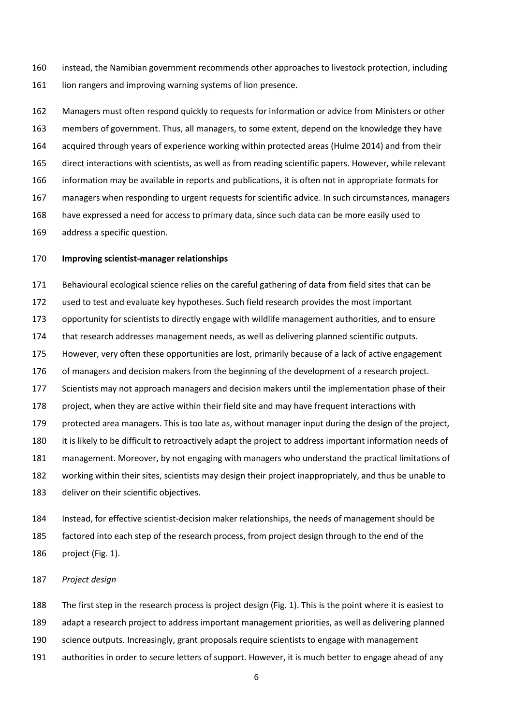instead, the Namibian government recommends other approaches to livestock protection, including 161 lion rangers and improving warning systems of lion presence.

 Managers must often respond quickly to requests for information or advice from Ministers or other members of government. Thus, all managers, to some extent, depend on the knowledge they have acquired through years of experience working within protected areas (Hulme 2014) and from their direct interactions with scientists, as well as from reading scientific papers. However, while relevant information may be available in reports and publications, it is often not in appropriate formats for managers when responding to urgent requests for scientific advice. In such circumstances, managers have expressed a need for access to primary data, since such data can be more easily used to address a specific question.

## **Improving scientist-manager relationships**

 Behavioural ecological science relies on the careful gathering of data from field sites that can be used to test and evaluate key hypotheses. Such field research provides the most important opportunity for scientists to directly engage with wildlife management authorities, and to ensure that research addresses management needs, as well as delivering planned scientific outputs. However, very often these opportunities are lost, primarily because of a lack of active engagement 176 of managers and decision makers from the beginning of the development of a research project. Scientists may not approach managers and decision makers until the implementation phase of their project, when they are active within their field site and may have frequent interactions with protected area managers. This is too late as, without manager input during the design of the project, it is likely to be difficult to retroactively adapt the project to address important information needs of management. Moreover, by not engaging with managers who understand the practical limitations of working within their sites, scientists may design their project inappropriately, and thus be unable to deliver on their scientific objectives.

 Instead, for effective scientist-decision maker relationships, the needs of management should be factored into each step of the research process, from project design through to the end of the project (Fig. 1).

## *Project design*

The first step in the research process is project design (Fig. 1). This is the point where it is easiest to

adapt a research project to address important management priorities, as well as delivering planned

science outputs. Increasingly, grant proposals require scientists to engage with management

authorities in order to secure letters of support. However, it is much better to engage ahead of any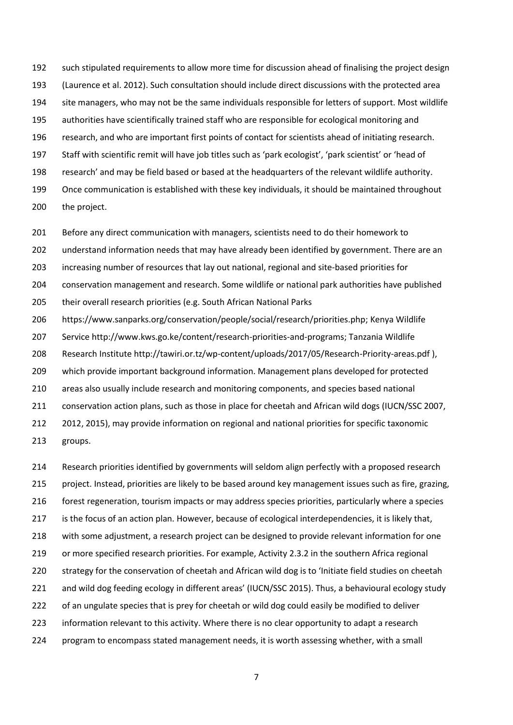such stipulated requirements to allow more time for discussion ahead of finalising the project design (Laurence et al. 2012). Such consultation should include direct discussions with the protected area site managers, who may not be the same individuals responsible for letters of support. Most wildlife authorities have scientifically trained staff who are responsible for ecological monitoring and research, and who are important first points of contact for scientists ahead of initiating research. Staff with scientific remit will have job titles such as 'park ecologist', 'park scientist' or 'head of research' and may be field based or based at the headquarters of the relevant wildlife authority. Once communication is established with these key individuals, it should be maintained throughout the project.

Before any direct communication with managers, scientists need to do their homework to

202 understand information needs that may have already been identified by government. There are an

increasing number of resources that lay out national, regional and site-based priorities for

conservation management and research. Some wildlife or national park authorities have published

their overall research priorities (e.g. South African National Parks

https://www.sanparks.org/conservation/people/social/research/priorities.php; Kenya Wildlife

Service http://www.kws.go.ke/content/research-priorities-and-programs; Tanzania Wildlife

Research Institute http://tawiri.or.tz/wp-content/uploads/2017/05/Research-Priority-areas.pdf ),

which provide important background information. Management plans developed for protected

areas also usually include research and monitoring components, and species based national

conservation action plans, such as those in place for cheetah and African wild dogs (IUCN/SSC 2007,

2012, 2015), may provide information on regional and national priorities for specific taxonomic

groups.

 Research priorities identified by governments will seldom align perfectly with a proposed research 215 project. Instead, priorities are likely to be based around key management issues such as fire, grazing, forest regeneration, tourism impacts or may address species priorities, particularly where a species is the focus of an action plan. However, because of ecological interdependencies, it is likely that, with some adjustment, a research project can be designed to provide relevant information for one or more specified research priorities. For example, Activity 2.3.2 in the southern Africa regional strategy for the conservation of cheetah and African wild dog is to 'Initiate field studies on cheetah and wild dog feeding ecology in different areas' (IUCN/SSC 2015). Thus, a behavioural ecology study 222 of an ungulate species that is prey for cheetah or wild dog could easily be modified to deliver information relevant to this activity. Where there is no clear opportunity to adapt a research program to encompass stated management needs, it is worth assessing whether, with a small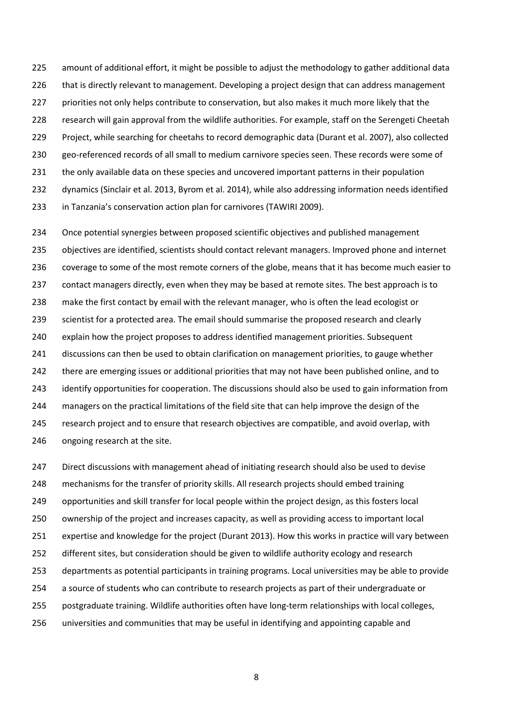amount of additional effort, it might be possible to adjust the methodology to gather additional data 226 that is directly relevant to management. Developing a project design that can address management 227 priorities not only helps contribute to conservation, but also makes it much more likely that the 228 research will gain approval from the wildlife authorities. For example, staff on the Serengeti Cheetah Project, while searching for cheetahs to record demographic data (Durant et al. 2007), also collected geo-referenced records of all small to medium carnivore species seen. These records were some of the only available data on these species and uncovered important patterns in their population dynamics (Sinclair et al. 2013, Byrom et al. 2014), while also addressing information needs identified in Tanzania's conservation action plan for carnivores (TAWIRI 2009).

 Once potential synergies between proposed scientific objectives and published management objectives are identified, scientists should contact relevant managers. Improved phone and internet 236 coverage to some of the most remote corners of the globe, means that it has become much easier to contact managers directly, even when they may be based at remote sites. The best approach is to make the first contact by email with the relevant manager, who is often the lead ecologist or scientist for a protected area. The email should summarise the proposed research and clearly explain how the project proposes to address identified management priorities. Subsequent 241 discussions can then be used to obtain clarification on management priorities, to gauge whether there are emerging issues or additional priorities that may not have been published online, and to identify opportunities for cooperation. The discussions should also be used to gain information from managers on the practical limitations of the field site that can help improve the design of the research project and to ensure that research objectives are compatible, and avoid overlap, with ongoing research at the site.

 Direct discussions with management ahead of initiating research should also be used to devise mechanisms for the transfer of priority skills. All research projects should embed training opportunities and skill transfer for local people within the project design, as this fosters local ownership of the project and increases capacity, as well as providing access to important local expertise and knowledge for the project (Durant 2013). How this works in practice will vary between different sites, but consideration should be given to wildlife authority ecology and research departments as potential participants in training programs. Local universities may be able to provide a source of students who can contribute to research projects as part of their undergraduate or postgraduate training. Wildlife authorities often have long-term relationships with local colleges, universities and communities that may be useful in identifying and appointing capable and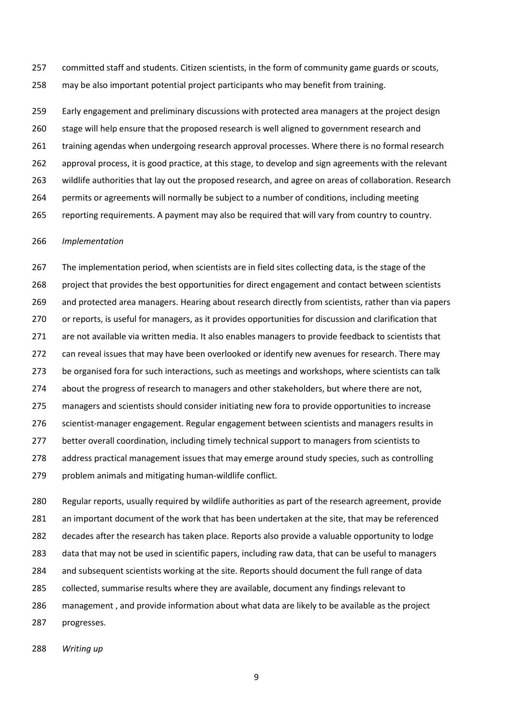committed staff and students. Citizen scientists, in the form of community game guards or scouts, may be also important potential project participants who may benefit from training.

 Early engagement and preliminary discussions with protected area managers at the project design stage will help ensure that the proposed research is well aligned to government research and training agendas when undergoing research approval processes. Where there is no formal research 262 approval process, it is good practice, at this stage, to develop and sign agreements with the relevant wildlife authorities that lay out the proposed research, and agree on areas of collaboration. Research 264 permits or agreements will normally be subject to a number of conditions, including meeting reporting requirements. A payment may also be required that will vary from country to country.

#### *Implementation*

 The implementation period, when scientists are in field sites collecting data, is the stage of the project that provides the best opportunities for direct engagement and contact between scientists and protected area managers. Hearing about research directly from scientists, rather than via papers or reports, is useful for managers, as it provides opportunities for discussion and clarification that 271 are not available via written media. It also enables managers to provide feedback to scientists that 272 can reveal issues that may have been overlooked or identify new avenues for research. There may be organised fora for such interactions, such as meetings and workshops, where scientists can talk about the progress of research to managers and other stakeholders, but where there are not, managers and scientists should consider initiating new fora to provide opportunities to increase scientist-manager engagement. Regular engagement between scientists and managers results in 277 better overall coordination, including timely technical support to managers from scientists to address practical management issues that may emerge around study species, such as controlling problem animals and mitigating human-wildlife conflict.

 Regular reports, usually required by wildlife authorities as part of the research agreement, provide an important document of the work that has been undertaken at the site, that may be referenced decades after the research has taken place. Reports also provide a valuable opportunity to lodge data that may not be used in scientific papers, including raw data, that can be useful to managers and subsequent scientists working at the site. Reports should document the full range of data collected, summarise results where they are available, document any findings relevant to management , and provide information about what data are likely to be available as the project progresses.

*Writing up*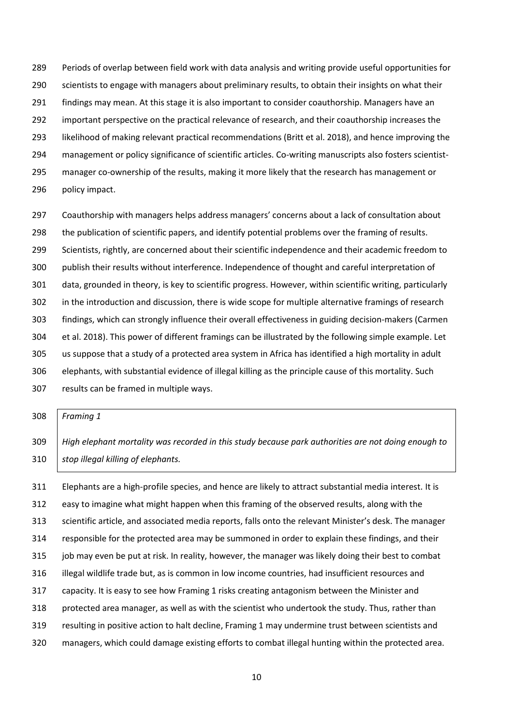Periods of overlap between field work with data analysis and writing provide useful opportunities for scientists to engage with managers about preliminary results, to obtain their insights on what their findings may mean. At this stage it is also important to consider coauthorship. Managers have an important perspective on the practical relevance of research, and their coauthorship increases the likelihood of making relevant practical recommendations (Britt et al. 2018), and hence improving the management or policy significance of scientific articles. Co-writing manuscripts also fosters scientist- manager co-ownership of the results, making it more likely that the research has management or policy impact.

 Coauthorship with managers helps address managers' concerns about a lack of consultation about the publication of scientific papers, and identify potential problems over the framing of results. 299 Scientists, rightly, are concerned about their scientific independence and their academic freedom to publish their results without interference. Independence of thought and careful interpretation of data, grounded in theory, is key to scientific progress. However, within scientific writing, particularly in the introduction and discussion, there is wide scope for multiple alternative framings of research findings, which can strongly influence their overall effectiveness in guiding decision-makers (Carmen et al. 2018). This power of different framings can be illustrated by the following simple example. Let us suppose that a study of a protected area system in Africa has identified a high mortality in adult elephants, with substantial evidence of illegal killing as the principle cause of this mortality. Such results can be framed in multiple ways.

#### *Framing 1*

 *High elephant mortality was recorded in this study because park authorities are not doing enough to stop illegal killing of elephants.* 

 Elephants are a high-profile species, and hence are likely to attract substantial media interest. It is easy to imagine what might happen when this framing of the observed results, along with the scientific article, and associated media reports, falls onto the relevant Minister's desk. The manager responsible for the protected area may be summoned in order to explain these findings, and their job may even be put at risk. In reality, however, the manager was likely doing their best to combat illegal wildlife trade but, as is common in low income countries, had insufficient resources and capacity. It is easy to see how Framing 1 risks creating antagonism between the Minister and protected area manager, as well as with the scientist who undertook the study. Thus, rather than resulting in positive action to halt decline, Framing 1 may undermine trust between scientists and managers, which could damage existing efforts to combat illegal hunting within the protected area.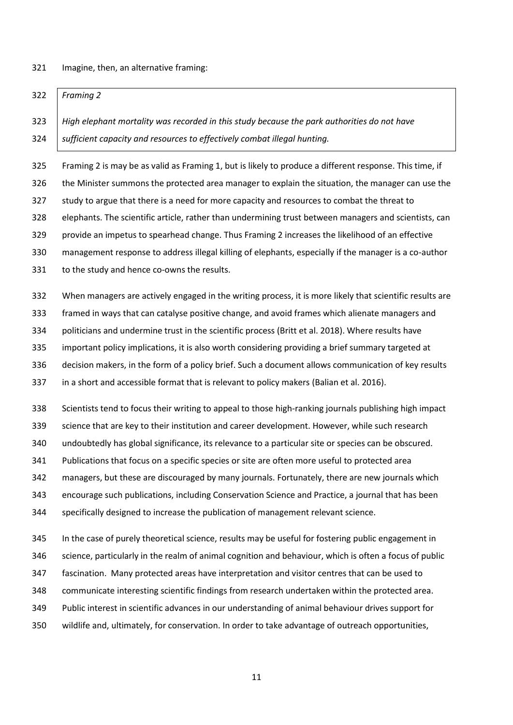#### Imagine, then, an alternative framing:

#### *Framing 2*

 *High elephant mortality was recorded in this study because the park authorities do not have sufficient capacity and resources to effectively combat illegal hunting.* 

 Framing 2 is may be as valid as Framing 1, but is likely to produce a different response. This time, if the Minister summons the protected area manager to explain the situation, the manager can use the study to argue that there is a need for more capacity and resources to combat the threat to elephants. The scientific article, rather than undermining trust between managers and scientists, can provide an impetus to spearhead change. Thus Framing 2 increases the likelihood of an effective management response to address illegal killing of elephants, especially if the manager is a co-author to the study and hence co-owns the results.

When managers are actively engaged in the writing process, it is more likely that scientific results are

framed in ways that can catalyse positive change, and avoid frames which alienate managers and

politicians and undermine trust in the scientific process (Britt et al. 2018). Where results have

important policy implications, it is also worth considering providing a brief summary targeted at

decision makers, in the form of a policy brief. Such a document allows communication of key results

in a short and accessible format that is relevant to policy makers (Balian et al. 2016).

Scientists tend to focus their writing to appeal to those high-ranking journals publishing high impact

science that are key to their institution and career development. However, while such research

undoubtedly has global significance, its relevance to a particular site or species can be obscured.

Publications that focus on a specific species or site are often more useful to protected area

managers, but these are discouraged by many journals. Fortunately, there are new journals which

encourage such publications, including Conservation Science and Practice, a journal that has been

specifically designed to increase the publication of management relevant science.

 In the case of purely theoretical science, results may be useful for fostering public engagement in science, particularly in the realm of animal cognition and behaviour, which is often a focus of public fascination. Many protected areas have interpretation and visitor centres that can be used to communicate interesting scientific findings from research undertaken within the protected area. Public interest in scientific advances in our understanding of animal behaviour drives support for wildlife and, ultimately, for conservation. In order to take advantage of outreach opportunities,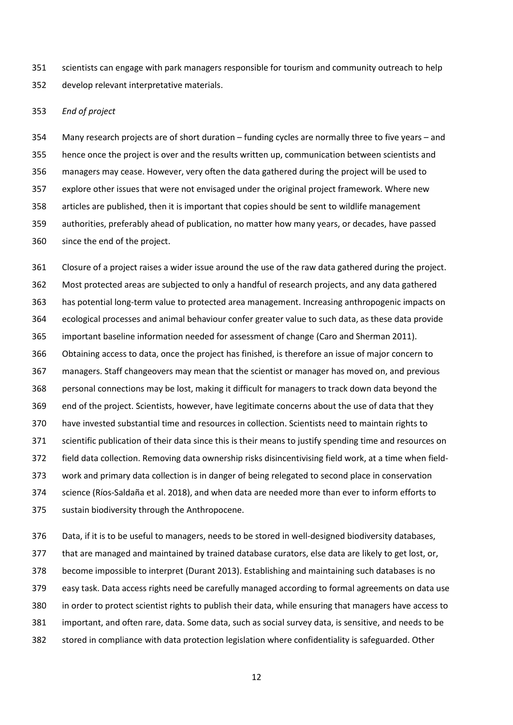scientists can engage with park managers responsible for tourism and community outreach to help develop relevant interpretative materials.

## *End of project*

 Many research projects are of short duration – funding cycles are normally three to five years – and hence once the project is over and the results written up, communication between scientists and managers may cease. However, very often the data gathered during the project will be used to explore other issues that were not envisaged under the original project framework. Where new articles are published, then it is important that copies should be sent to wildlife management authorities, preferably ahead of publication, no matter how many years, or decades, have passed since the end of the project.

 Closure of a project raises a wider issue around the use of the raw data gathered during the project. Most protected areas are subjected to only a handful of research projects, and any data gathered has potential long-term value to protected area management. Increasing anthropogenic impacts on ecological processes and animal behaviour confer greater value to such data, as these data provide important baseline information needed for assessment of change (Caro and Sherman 2011). Obtaining access to data, once the project has finished, is therefore an issue of major concern to managers. Staff changeovers may mean that the scientist or manager has moved on, and previous personal connections may be lost, making it difficult for managers to track down data beyond the end of the project. Scientists, however, have legitimate concerns about the use of data that they have invested substantial time and resources in collection. Scientists need to maintain rights to scientific publication of their data since this is their means to justify spending time and resources on field data collection. Removing data ownership risks disincentivising field work, at a time when field- work and primary data collection is in danger of being relegated to second place in conservation science (Ríos-Saldaña et al. 2018), and when data are needed more than ever to inform efforts to sustain biodiversity through the Anthropocene.

 Data, if it is to be useful to managers, needs to be stored in well-designed biodiversity databases, that are managed and maintained by trained database curators, else data are likely to get lost, or, become impossible to interpret (Durant 2013). Establishing and maintaining such databases is no easy task. Data access rights need be carefully managed according to formal agreements on data use in order to protect scientist rights to publish their data, while ensuring that managers have access to important, and often rare, data. Some data, such as social survey data, is sensitive, and needs to be stored in compliance with data protection legislation where confidentiality is safeguarded. Other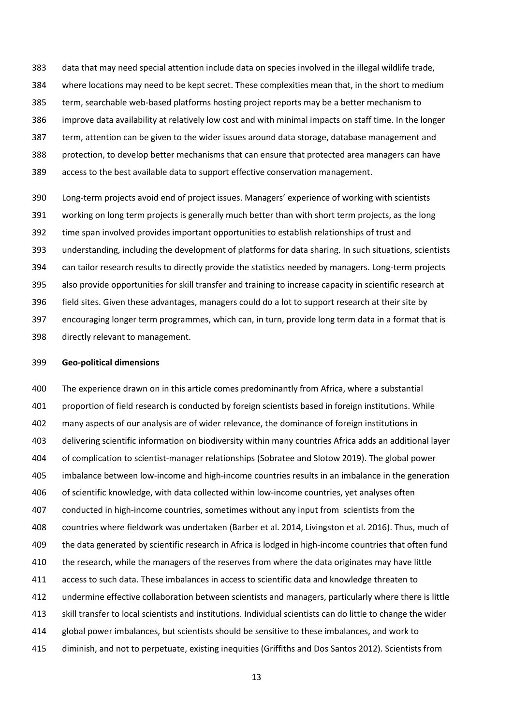data that may need special attention include data on species involved in the illegal wildlife trade, where locations may need to be kept secret. These complexities mean that, in the short to medium term, searchable web-based platforms hosting project reports may be a better mechanism to improve data availability at relatively low cost and with minimal impacts on staff time. In the longer term, attention can be given to the wider issues around data storage, database management and protection, to develop better mechanisms that can ensure that protected area managers can have access to the best available data to support effective conservation management.

 Long-term projects avoid end of project issues. Managers' experience of working with scientists working on long term projects is generally much better than with short term projects, as the long time span involved provides important opportunities to establish relationships of trust and understanding, including the development of platforms for data sharing. In such situations, scientists can tailor research results to directly provide the statistics needed by managers. Long-term projects also provide opportunities for skill transfer and training to increase capacity in scientific research at field sites. Given these advantages, managers could do a lot to support research at their site by encouraging longer term programmes, which can, in turn, provide long term data in a format that is directly relevant to management.

#### **Geo-political dimensions**

 The experience drawn on in this article comes predominantly from Africa, where a substantial proportion of field research is conducted by foreign scientists based in foreign institutions. While many aspects of our analysis are of wider relevance, the dominance of foreign institutions in delivering scientific information on biodiversity within many countries Africa adds an additional layer of complication to scientist-manager relationships (Sobratee and Slotow 2019). The global power imbalance between low-income and high-income countries results in an imbalance in the generation of scientific knowledge, with data collected within low-income countries, yet analyses often conducted in high-income countries, sometimes without any input from scientists from the countries where fieldwork was undertaken (Barber et al. 2014, Livingston et al. 2016). Thus, much of the data generated by scientific research in Africa is lodged in high-income countries that often fund the research, while the managers of the reserves from where the data originates may have little access to such data. These imbalances in access to scientific data and knowledge threaten to undermine effective collaboration between scientists and managers, particularly where there is little 413 skill transfer to local scientists and institutions. Individual scientists can do little to change the wider global power imbalances, but scientists should be sensitive to these imbalances, and work to diminish, and not to perpetuate, existing inequities (Griffiths and Dos Santos 2012). Scientists from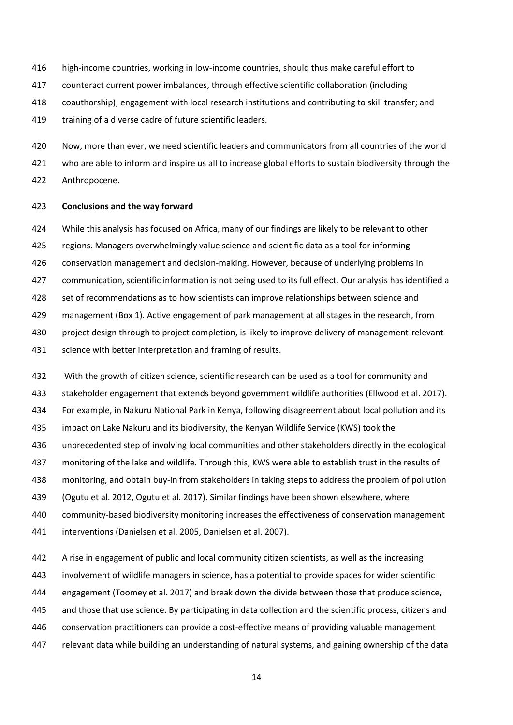- high-income countries, working in low-income countries, should thus make careful effort to
- counteract current power imbalances, through effective scientific collaboration (including
- coauthorship); engagement with local research institutions and contributing to skill transfer; and
- 419 training of a diverse cadre of future scientific leaders.
- Now, more than ever, we need scientific leaders and communicators from all countries of the world
- who are able to inform and inspire us all to increase global efforts to sustain biodiversity through the Anthropocene.

#### **Conclusions and the way forward**

- While this analysis has focused on Africa, many of our findings are likely to be relevant to other
- regions. Managers overwhelmingly value science and scientific data as a tool for informing
- conservation management and decision-making. However, because of underlying problems in
- communication, scientific information is not being used to its full effect. Our analysis has identified a
- set of recommendations as to how scientists can improve relationships between science and
- management (Box 1). Active engagement of park management at all stages in the research, from
- project design through to project completion, is likely to improve delivery of management-relevant
- science with better interpretation and framing of results.
- With the growth of citizen science, scientific research can be used as a tool for community and stakeholder engagement that extends beyond government wildlife authorities (Ellwood et al. 2017). For example, in Nakuru National Park in Kenya, following disagreement about local pollution and its impact on Lake Nakuru and its biodiversity, the Kenyan Wildlife Service (KWS) took the unprecedented step of involving local communities and other stakeholders directly in the ecological monitoring of the lake and wildlife. Through this, KWS were able to establish trust in the results of monitoring, and obtain buy-in from stakeholders in taking steps to address the problem of pollution (Ogutu et al. 2012, Ogutu et al. 2017). Similar findings have been shown elsewhere, where community-based biodiversity monitoring increases the effectiveness of conservation management interventions (Danielsen et al. 2005, Danielsen et al. 2007).
- A rise in engagement of public and local community citizen scientists, as well as the increasing involvement of wildlife managers in science, has a potential to provide spaces for wider scientific engagement (Toomey et al. 2017) and break down the divide between those that produce science, and those that use science. By participating in data collection and the scientific process, citizens and conservation practitioners can provide a cost-effective means of providing valuable management relevant data while building an understanding of natural systems, and gaining ownership of the data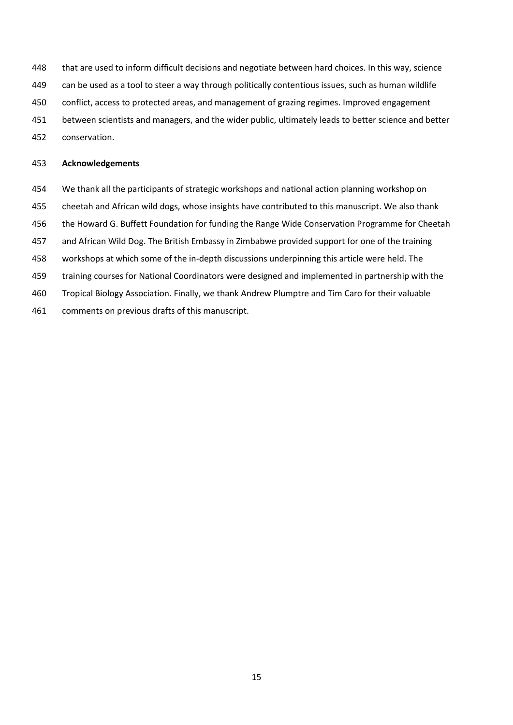- that are used to inform difficult decisions and negotiate between hard choices. In this way, science
- can be used as a tool to steer a way through politically contentious issues, such as human wildlife
- conflict, access to protected areas, and management of grazing regimes. Improved engagement
- between scientists and managers, and the wider public, ultimately leads to better science and better
- conservation.

## **Acknowledgements**

- We thank all the participants of strategic workshops and national action planning workshop on
- cheetah and African wild dogs, whose insights have contributed to this manuscript. We also thank
- the Howard G. Buffett Foundation for funding the Range Wide Conservation Programme for Cheetah
- and African Wild Dog. The British Embassy in Zimbabwe provided support for one of the training
- workshops at which some of the in-depth discussions underpinning this article were held. The
- training courses for National Coordinators were designed and implemented in partnership with the
- Tropical Biology Association. Finally, we thank Andrew Plumptre and Tim Caro for their valuable
- comments on previous drafts of this manuscript.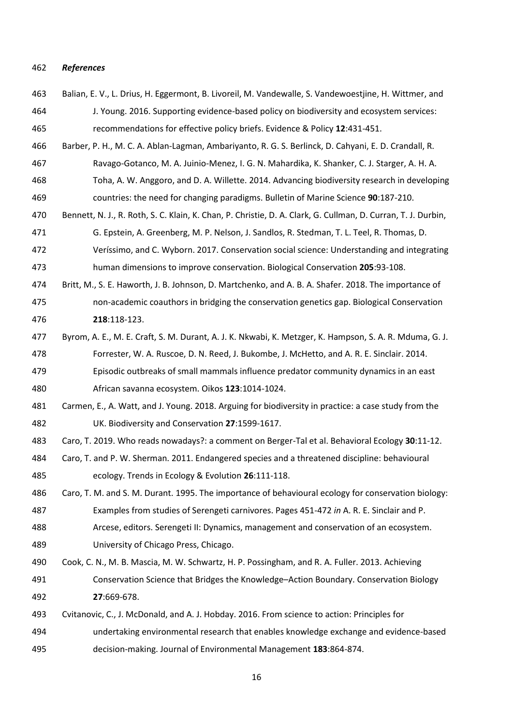#### *References*

- Balian, E. V., L. Drius, H. Eggermont, B. Livoreil, M. Vandewalle, S. Vandewoestjine, H. Wittmer, and J. Young. 2016. Supporting evidence-based policy on biodiversity and ecosystem services: recommendations for effective policy briefs. Evidence & Policy **12**:431-451.
- Barber, P. H., M. C. A. Ablan-Lagman, Ambariyanto, R. G. S. Berlinck, D. Cahyani, E. D. Crandall, R.
- Ravago-Gotanco, M. A. Juinio-Menez, I. G. N. Mahardika, K. Shanker, C. J. Starger, A. H. A. Toha, A. W. Anggoro, and D. A. Willette. 2014. Advancing biodiversity research in developing
- countries: the need for changing paradigms. Bulletin of Marine Science **90**:187-210.
- Bennett, N. J., R. Roth, S. C. Klain, K. Chan, P. Christie, D. A. Clark, G. Cullman, D. Curran, T. J. Durbin, G. Epstein, A. Greenberg, M. P. Nelson, J. Sandlos, R. Stedman, T. L. Teel, R. Thomas, D.
- Veríssimo, and C. Wyborn. 2017. Conservation social science: Understanding and integrating human dimensions to improve conservation. Biological Conservation **205**:93-108.
- Britt, M., S. E. Haworth, J. B. Johnson, D. Martchenko, and A. B. A. Shafer. 2018. The importance of non-academic coauthors in bridging the conservation genetics gap. Biological Conservation **218**:118-123.
- Byrom, A. E., M. E. Craft, S. M. Durant, A. J. K. Nkwabi, K. Metzger, K. Hampson, S. A. R. Mduma, G. J. Forrester, W. A. Ruscoe, D. N. Reed, J. Bukombe, J. McHetto, and A. R. E. Sinclair. 2014. Episodic outbreaks of small mammals influence predator community dynamics in an east African savanna ecosystem. Oikos **123**:1014-1024.
- Carmen, E., A. Watt, and J. Young. 2018. Arguing for biodiversity in practice: a case study from the UK. Biodiversity and Conservation **27**:1599-1617.
- Caro, T. 2019. Who reads nowadays?: a comment on Berger-Tal et al. Behavioral Ecology **30**:11-12.
- Caro, T. and P. W. Sherman. 2011. Endangered species and a threatened discipline: behavioural ecology. Trends in Ecology & Evolution **26**:111-118.
- Caro, T. M. and S. M. Durant. 1995. The importance of behavioural ecology for conservation biology: Examples from studies of Serengeti carnivores. Pages 451-472 *in* A. R. E. Sinclair and P.
- Arcese, editors. Serengeti II: Dynamics, management and conservation of an ecosystem. University of Chicago Press, Chicago.
- Cook, C. N., M. B. Mascia, M. W. Schwartz, H. P. Possingham, and R. A. Fuller. 2013. Achieving Conservation Science that Bridges the Knowledge–Action Boundary. Conservation Biology **27**:669-678.
- Cvitanovic, C., J. McDonald, and A. J. Hobday. 2016. From science to action: Principles for
- undertaking environmental research that enables knowledge exchange and evidence-based decision-making. Journal of Environmental Management **183**:864-874.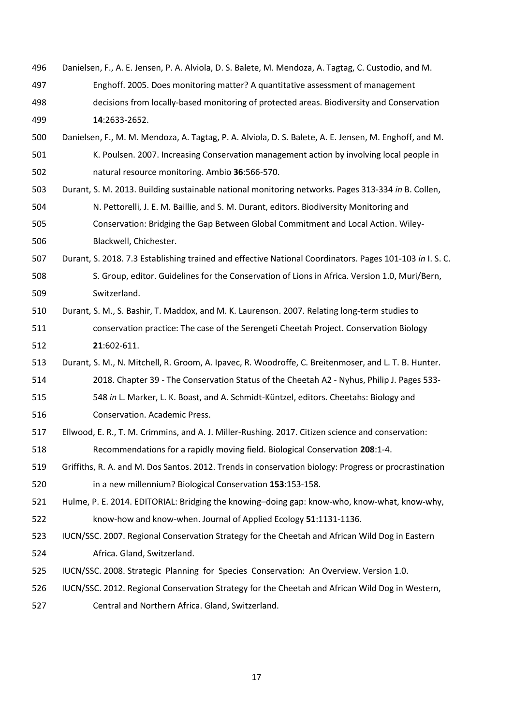- Danielsen, F., A. E. Jensen, P. A. Alviola, D. S. Balete, M. Mendoza, A. Tagtag, C. Custodio, and M. Enghoff. 2005. Does monitoring matter? A quantitative assessment of management decisions from locally-based monitoring of protected areas. Biodiversity and Conservation **14**:2633-2652.
- Danielsen, F., M. M. Mendoza, A. Tagtag, P. A. Alviola, D. S. Balete, A. E. Jensen, M. Enghoff, and M. K. Poulsen. 2007. Increasing Conservation management action by involving local people in natural resource monitoring. Ambio **36**:566-570.
- Durant, S. M. 2013. Building sustainable national monitoring networks. Pages 313-334 *in* B. Collen, N. Pettorelli, J. E. M. Baillie, and S. M. Durant, editors. Biodiversity Monitoring and Conservation: Bridging the Gap Between Global Commitment and Local Action. Wiley-Blackwell, Chichester.
- Durant, S. 2018. 7.3 Establishing trained and effective National Coordinators. Pages 101-103 *in* I. S. C. S. Group, editor. Guidelines for the Conservation of Lions in Africa. Version 1.0, Muri/Bern, Switzerland.
- Durant, S. M., S. Bashir, T. Maddox, and M. K. Laurenson. 2007. Relating long-term studies to conservation practice: The case of the Serengeti Cheetah Project. Conservation Biology **21**:602-611.
- Durant, S. M., N. Mitchell, R. Groom, A. Ipavec, R. Woodroffe, C. Breitenmoser, and L. T. B. Hunter. 2018. Chapter 39 - The Conservation Status of the Cheetah A2 - Nyhus, Philip J. Pages 533- 548 *in* L. Marker, L. K. Boast, and A. Schmidt-Küntzel, editors. Cheetahs: Biology and
- Conservation. Academic Press.
- Ellwood, E. R., T. M. Crimmins, and A. J. Miller-Rushing. 2017. Citizen science and conservation: Recommendations for a rapidly moving field. Biological Conservation **208**:1-4.
- Griffiths, R. A. and M. Dos Santos. 2012. Trends in conservation biology: Progress or procrastination in a new millennium? Biological Conservation **153**:153-158.
- Hulme, P. E. 2014. EDITORIAL: Bridging the knowing–doing gap: know-who, know-what, know-why, know-how and know-when. Journal of Applied Ecology **51**:1131-1136.
- IUCN/SSC. 2007. Regional Conservation Strategy for the Cheetah and African Wild Dog in Eastern Africa. Gland, Switzerland.
- IUCN/SSC. 2008. Strategic Planning for Species Conservation: An Overview. Version 1.0.
- IUCN/SSC. 2012. Regional Conservation Strategy for the Cheetah and African Wild Dog in Western,
- Central and Northern Africa. Gland, Switzerland.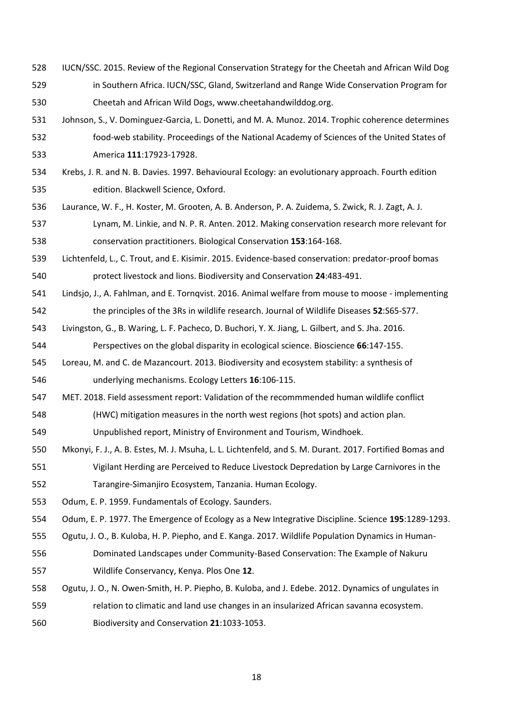- IUCN/SSC. 2015. Review of the Regional Conservation Strategy for the Cheetah and African Wild Dog 529 in Southern Africa. IUCN/SSC, Gland, Switzerland and Range Wide Conservation Program for Cheetah and African Wild Dogs, www.cheetahandwilddog.org.
- Johnson, S., V. Dominguez-Garcia, L. Donetti, and M. A. Munoz. 2014. Trophic coherence determines food-web stability. Proceedings of the National Academy of Sciences of the United States of America **111**:17923-17928.
- Krebs, J. R. and N. B. Davies. 1997. Behavioural Ecology: an evolutionary approach. Fourth edition edition. Blackwell Science, Oxford.
- Laurance, W. F., H. Koster, M. Grooten, A. B. Anderson, P. A. Zuidema, S. Zwick, R. J. Zagt, A. J.
- Lynam, M. Linkie, and N. P. R. Anten. 2012. Making conservation research more relevant for conservation practitioners. Biological Conservation **153**:164-168.
- Lichtenfeld, L., C. Trout, and E. Kisimir. 2015. Evidence-based conservation: predator-proof bomas protect livestock and lions. Biodiversity and Conservation **24**:483-491.
- Lindsjo, J., A. Fahlman, and E. Tornqvist. 2016. Animal welfare from mouse to moose implementing the principles of the 3Rs in wildlife research. Journal of Wildlife Diseases **52**:S65-S77.
- Livingston, G., B. Waring, L. F. Pacheco, D. Buchori, Y. X. Jiang, L. Gilbert, and S. Jha. 2016.
- Perspectives on the global disparity in ecological science. Bioscience **66**:147-155.
- Loreau, M. and C. de Mazancourt. 2013. Biodiversity and ecosystem stability: a synthesis of underlying mechanisms. Ecology Letters **16**:106-115.
- MET. 2018. Field assessment report: Validation of the recommmended human wildlife conflict
- (HWC) mitigation measures in the north west regions (hot spots) and action plan.
- Unpublished report, Ministry of Environment and Tourism, Windhoek.
- Mkonyi, F. J., A. B. Estes, M. J. Msuha, L. L. Lichtenfeld, and S. M. Durant. 2017. Fortified Bomas and Vigilant Herding are Perceived to Reduce Livestock Depredation by Large Carnivores in the
- Tarangire-Simanjiro Ecosystem, Tanzania. Human Ecology.
- Odum, E. P. 1959. Fundamentals of Ecology. Saunders.
- Odum, E. P. 1977. The Emergence of Ecology as a New Integrative Discipline. Science **195**:1289-1293.
- Ogutu, J. O., B. Kuloba, H. P. Piepho, and E. Kanga. 2017. Wildlife Population Dynamics in Human-
- Dominated Landscapes under Community-Based Conservation: The Example of Nakuru Wildlife Conservancy, Kenya. Plos One **12**.
- Ogutu, J. O., N. Owen-Smith, H. P. Piepho, B. Kuloba, and J. Edebe. 2012. Dynamics of ungulates in relation to climatic and land use changes in an insularized African savanna ecosystem. Biodiversity and Conservation **21**:1033-1053.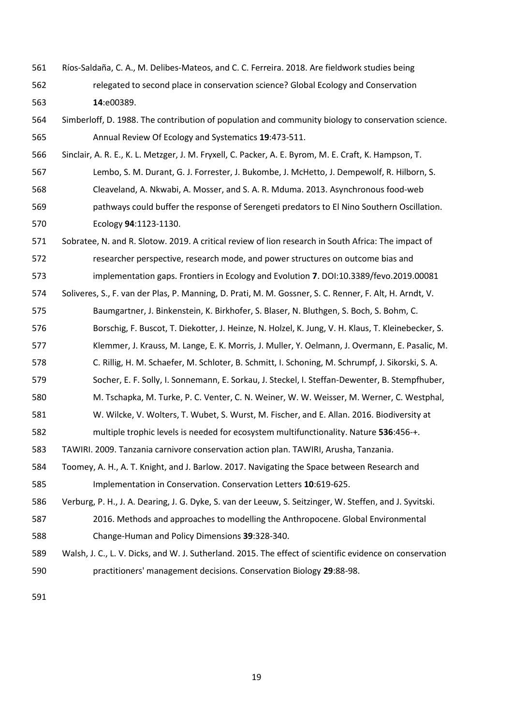- Ríos-Saldaña, C. A., M. Delibes-Mateos, and C. C. Ferreira. 2018. Are fieldwork studies being relegated to second place in conservation science? Global Ecology and Conservation **14**:e00389.
- Simberloff, D. 1988. The contribution of population and community biology to conservation science. Annual Review Of Ecology and Systematics **19**:473-511.
- Sinclair, A. R. E., K. L. Metzger, J. M. Fryxell, C. Packer, A. E. Byrom, M. E. Craft, K. Hampson, T. Lembo, S. M. Durant, G. J. Forrester, J. Bukombe, J. McHetto, J. Dempewolf, R. Hilborn, S. Cleaveland, A. Nkwabi, A. Mosser, and S. A. R. Mduma. 2013. Asynchronous food-web pathways could buffer the response of Serengeti predators to El Nino Southern Oscillation. Ecology **94**:1123-1130.
- Sobratee, N. and R. Slotow. 2019. A critical review of lion research in South Africa: The impact of researcher perspective, research mode, and power structures on outcome bias and implementation gaps. Frontiers in Ecology and Evolution **7**. DOI:10.3389/fevo.2019.00081
- Soliveres, S., F. van der Plas, P. Manning, D. Prati, M. M. Gossner, S. C. Renner, F. Alt, H. Arndt, V.
- Baumgartner, J. Binkenstein, K. Birkhofer, S. Blaser, N. Bluthgen, S. Boch, S. Bohm, C.
- Borschig, F. Buscot, T. Diekotter, J. Heinze, N. Holzel, K. Jung, V. H. Klaus, T. Kleinebecker, S.
- Klemmer, J. Krauss, M. Lange, E. K. Morris, J. Muller, Y. Oelmann, J. Overmann, E. Pasalic, M.
- C. Rillig, H. M. Schaefer, M. Schloter, B. Schmitt, I. Schoning, M. Schrumpf, J. Sikorski, S. A.
- Socher, E. F. Solly, I. Sonnemann, E. Sorkau, J. Steckel, I. Steffan-Dewenter, B. Stempfhuber,
- M. Tschapka, M. Turke, P. C. Venter, C. N. Weiner, W. W. Weisser, M. Werner, C. Westphal,
- W. Wilcke, V. Wolters, T. Wubet, S. Wurst, M. Fischer, and E. Allan. 2016. Biodiversity at
- multiple trophic levels is needed for ecosystem multifunctionality. Nature **536**:456-+.
- TAWIRI. 2009. Tanzania carnivore conservation action plan. TAWIRI, Arusha, Tanzania.
- Toomey, A. H., A. T. Knight, and J. Barlow. 2017. Navigating the Space between Research and Implementation in Conservation. Conservation Letters **10**:619-625.
- Verburg, P. H., J. A. Dearing, J. G. Dyke, S. van der Leeuw, S. Seitzinger, W. Steffen, and J. Syvitski. 2016. Methods and approaches to modelling the Anthropocene. Global Environmental Change-Human and Policy Dimensions **39**:328-340.
- Walsh, J. C., L. V. Dicks, and W. J. Sutherland. 2015. The effect of scientific evidence on conservation practitioners' management decisions. Conservation Biology **29**:88-98.
-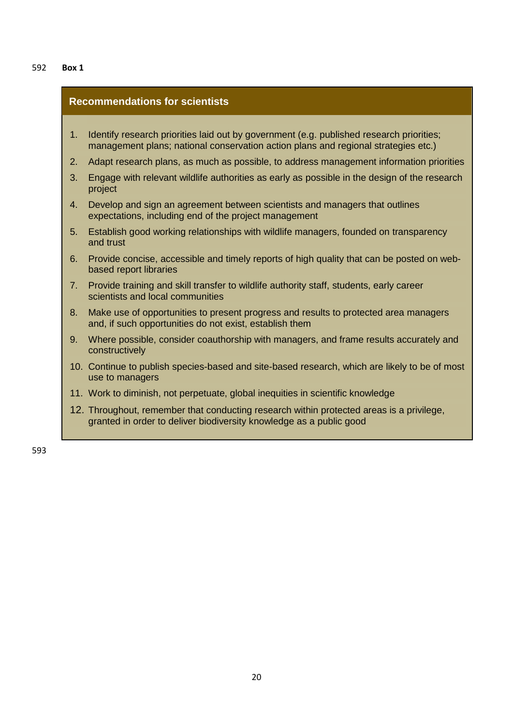## **Recommendations for scientists**

- 1. Identify research priorities laid out by government (e.g. published research priorities; management plans; national conservation action plans and regional strategies etc.)
- 2. Adapt research plans, as much as possible, to address management information priorities
- 3. Engage with relevant wildlife authorities as early as possible in the design of the research project
- 4. Develop and sign an agreement between scientists and managers that outlines expectations, including end of the project management
- 5. Establish good working relationships with wildlife managers, founded on transparency and trust
- 6. Provide concise, accessible and timely reports of high quality that can be posted on webbased report libraries
- 7. Provide training and skill transfer to wildlife authority staff, students, early career scientists and local communities
- 8. Make use of opportunities to present progress and results to protected area managers and, if such opportunities do not exist, establish them
- 9. Where possible, consider coauthorship with managers, and frame results accurately and constructively
- 10. Continue to publish species-based and site-based research, which are likely to be of most use to managers
- 11. Work to diminish, not perpetuate, global inequities in scientific knowledge
- 12. Throughout, remember that conducting research within protected areas is a privilege, granted in order to deliver biodiversity knowledge as a public good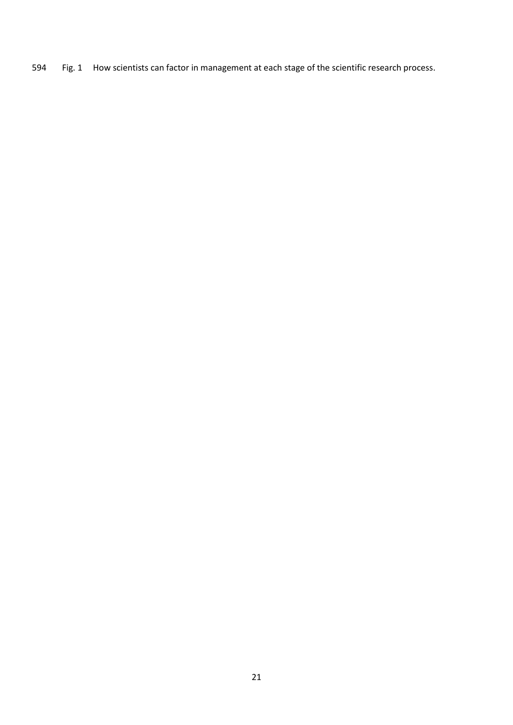Fig. 1 How scientists can factor in management at each stage of the scientific research process.